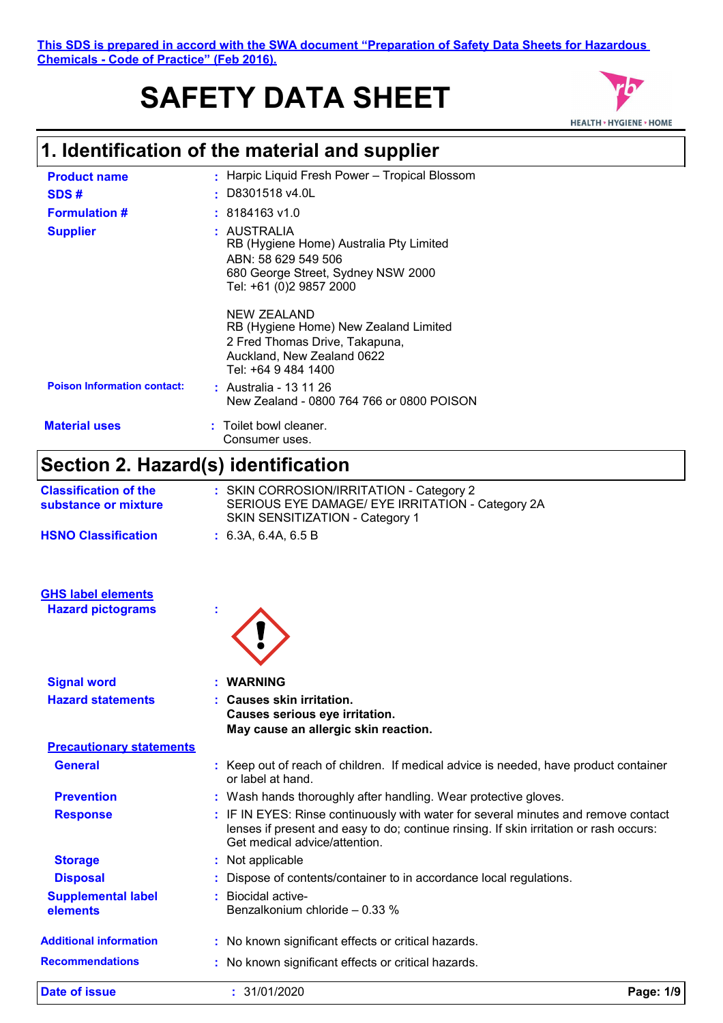# **SAFETY DATA SHEET**



# **1. Identification of the material and supplier**

| <b>Product name</b>                                   | : Harpic Liquid Fresh Power - Tropical Blossom                                                                                                                                                                |
|-------------------------------------------------------|---------------------------------------------------------------------------------------------------------------------------------------------------------------------------------------------------------------|
| SDS#                                                  | D8301518 v4.0L                                                                                                                                                                                                |
| <b>Formulation #</b>                                  | 8184163 v1.0                                                                                                                                                                                                  |
| <b>Supplier</b>                                       | : AUSTRALIA<br>RB (Hygiene Home) Australia Pty Limited<br>ABN: 58 629 549 506<br>680 George Street, Sydney NSW 2000<br>Tel: +61 (0)2 9857 2000                                                                |
|                                                       | <b>NEW ZEALAND</b><br>RB (Hygiene Home) New Zealand Limited<br>2 Fred Thomas Drive, Takapuna,<br>Auckland, New Zealand 0622<br>Tel: +64 9 484 1400                                                            |
| <b>Poison Information contact:</b>                    | : Australia - 13 11 26<br>New Zealand - 0800 764 766 or 0800 POISON                                                                                                                                           |
| <b>Material uses</b>                                  | Toilet bowl cleaner.<br>Consumer uses.                                                                                                                                                                        |
| Section 2. Hazard(s) identification                   |                                                                                                                                                                                                               |
| <b>Classification of the</b><br>substance or mixture  | : SKIN CORROSION/IRRITATION - Category 2<br>SERIOUS EYE DAMAGE/ EYE IRRITATION - Category 2A<br>SKIN SENSITIZATION - Category 1                                                                               |
| <b>HSNO Classification</b>                            | : 6.3A, 6.4A, 6.5B                                                                                                                                                                                            |
| <b>GHS label elements</b><br><b>Hazard pictograms</b> |                                                                                                                                                                                                               |
| <b>Signal word</b>                                    | <b>WARNING</b>                                                                                                                                                                                                |
| <b>Hazard statements</b>                              | <b>Causes skin irritation.</b><br>Causes serious eye irritation.<br>May cause an allergic skin reaction.                                                                                                      |
| <b>Precautionary statements</b>                       |                                                                                                                                                                                                               |
| <b>General</b>                                        | : Keep out of reach of children. If medical advice is needed, have product container<br>or label at hand.                                                                                                     |
| <b>Prevention</b>                                     | : Wash hands thoroughly after handling. Wear protective gloves.                                                                                                                                               |
| <b>Response</b>                                       | : IF IN EYES: Rinse continuously with water for several minutes and remove contact<br>lenses if present and easy to do; continue rinsing. If skin irritation or rash occurs:<br>Get medical advice/attention. |
| <b>Storage</b>                                        | : Not applicable                                                                                                                                                                                              |
| <b>Disposal</b>                                       | : Dispose of contents/container to in accordance local regulations.                                                                                                                                           |
| <b>Supplemental label</b><br>elements                 | : Biocidal active-<br>Benzalkonium chloride - 0.33 %                                                                                                                                                          |
| <b>Additional information</b>                         | : No known significant effects or critical hazards.                                                                                                                                                           |
| <b>Recommendations</b>                                | : No known significant effects or critical hazards.                                                                                                                                                           |

**Date of issue :** 31/01/2020 **Page: 1/9**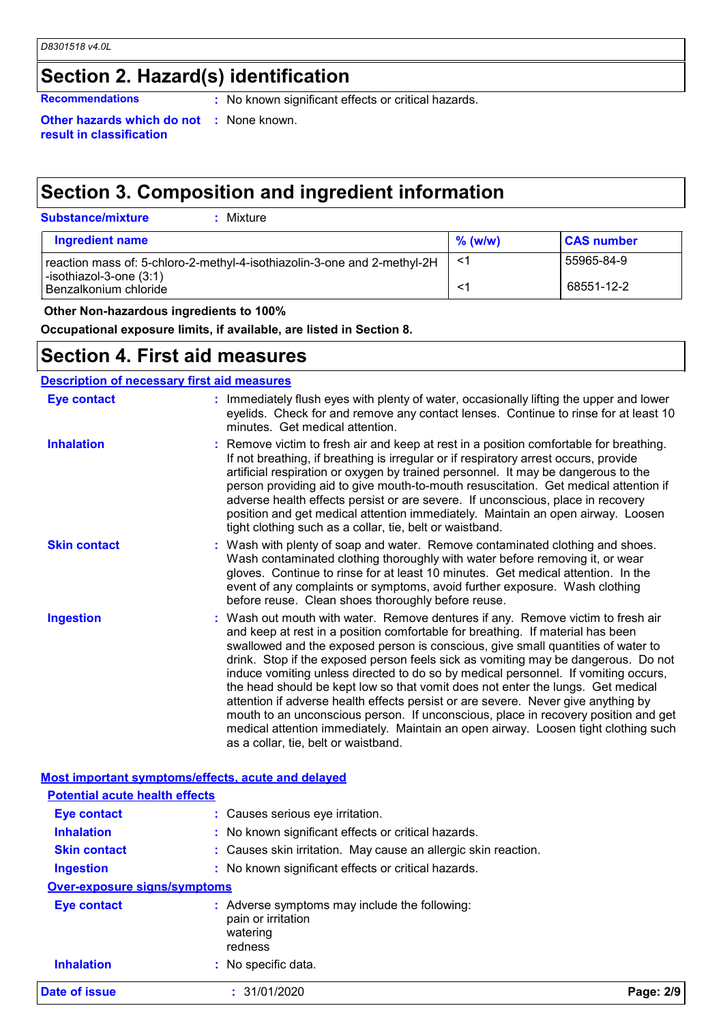# **Section 2. Hazard(s) identification**

**Recommendations :** No known significant effects or critical hazards.

**Other hazards which do not :** None known. **result in classification**

# **Section 3. Composition and ingredient information**

| Ingredient name                                                          | $\%$ (w/w) | <b>CAS number</b> |
|--------------------------------------------------------------------------|------------|-------------------|
| reaction mass of: 5-chloro-2-methyl-4-isothiazolin-3-one and 2-methyl-2H |            | 55965-84-9        |
| $-$ isothiazol-3-one $(3:1)$<br>Benzalkonium chloride                    |            | 68551-12-2        |

### **Other Non-hazardous ingredients to 100%**

**Occupational exposure limits, if available, are listed in Section 8.**

## **Section 4. First aid measures**

| <b>Eye contact</b><br>: Immediately flush eyes with plenty of water, occasionally lifting the upper and lower<br>eyelids. Check for and remove any contact lenses. Continue to rinse for at least 10<br>minutes. Get medical attention.<br><b>Inhalation</b><br>: Remove victim to fresh air and keep at rest in a position comfortable for breathing.<br>If not breathing, if breathing is irregular or if respiratory arrest occurs, provide<br>artificial respiration or oxygen by trained personnel. It may be dangerous to the<br>person providing aid to give mouth-to-mouth resuscitation. Get medical attention if<br>adverse health effects persist or are severe. If unconscious, place in recovery<br>position and get medical attention immediately. Maintain an open airway. Loosen<br>tight clothing such as a collar, tie, belt or waistband.<br><b>Skin contact</b><br>: Wash with plenty of soap and water. Remove contaminated clothing and shoes.<br>Wash contaminated clothing thoroughly with water before removing it, or wear<br>gloves. Continue to rinse for at least 10 minutes. Get medical attention. In the<br>event of any complaints or symptoms, avoid further exposure. Wash clothing<br>before reuse. Clean shoes thoroughly before reuse.<br>: Wash out mouth with water. Remove dentures if any. Remove victim to fresh air<br><b>Ingestion</b><br>and keep at rest in a position comfortable for breathing. If material has been<br>swallowed and the exposed person is conscious, give small quantities of water to<br>drink. Stop if the exposed person feels sick as vomiting may be dangerous. Do not<br>induce vomiting unless directed to do so by medical personnel. If vomiting occurs,<br>the head should be kept low so that vomit does not enter the lungs. Get medical<br>attention if adverse health effects persist or are severe. Never give anything by<br>mouth to an unconscious person. If unconscious, place in recovery position and get<br>medical attention immediately. Maintain an open airway. Loosen tight clothing such<br>as a collar, tie, belt or waistband.<br>Most important symptoms/effects, acute and delayed<br><b>Potential acute health effects</b> | <b>Description of necessary first aid measures</b> |  |
|---------------------------------------------------------------------------------------------------------------------------------------------------------------------------------------------------------------------------------------------------------------------------------------------------------------------------------------------------------------------------------------------------------------------------------------------------------------------------------------------------------------------------------------------------------------------------------------------------------------------------------------------------------------------------------------------------------------------------------------------------------------------------------------------------------------------------------------------------------------------------------------------------------------------------------------------------------------------------------------------------------------------------------------------------------------------------------------------------------------------------------------------------------------------------------------------------------------------------------------------------------------------------------------------------------------------------------------------------------------------------------------------------------------------------------------------------------------------------------------------------------------------------------------------------------------------------------------------------------------------------------------------------------------------------------------------------------------------------------------------------------------------------------------------------------------------------------------------------------------------------------------------------------------------------------------------------------------------------------------------------------------------------------------------------------------------------------------------------------------------------------------------------------------------------------------------------------------------------------|----------------------------------------------------|--|
|                                                                                                                                                                                                                                                                                                                                                                                                                                                                                                                                                                                                                                                                                                                                                                                                                                                                                                                                                                                                                                                                                                                                                                                                                                                                                                                                                                                                                                                                                                                                                                                                                                                                                                                                                                                                                                                                                                                                                                                                                                                                                                                                                                                                                                 |                                                    |  |
|                                                                                                                                                                                                                                                                                                                                                                                                                                                                                                                                                                                                                                                                                                                                                                                                                                                                                                                                                                                                                                                                                                                                                                                                                                                                                                                                                                                                                                                                                                                                                                                                                                                                                                                                                                                                                                                                                                                                                                                                                                                                                                                                                                                                                                 |                                                    |  |
|                                                                                                                                                                                                                                                                                                                                                                                                                                                                                                                                                                                                                                                                                                                                                                                                                                                                                                                                                                                                                                                                                                                                                                                                                                                                                                                                                                                                                                                                                                                                                                                                                                                                                                                                                                                                                                                                                                                                                                                                                                                                                                                                                                                                                                 |                                                    |  |
|                                                                                                                                                                                                                                                                                                                                                                                                                                                                                                                                                                                                                                                                                                                                                                                                                                                                                                                                                                                                                                                                                                                                                                                                                                                                                                                                                                                                                                                                                                                                                                                                                                                                                                                                                                                                                                                                                                                                                                                                                                                                                                                                                                                                                                 |                                                    |  |
|                                                                                                                                                                                                                                                                                                                                                                                                                                                                                                                                                                                                                                                                                                                                                                                                                                                                                                                                                                                                                                                                                                                                                                                                                                                                                                                                                                                                                                                                                                                                                                                                                                                                                                                                                                                                                                                                                                                                                                                                                                                                                                                                                                                                                                 |                                                    |  |
|                                                                                                                                                                                                                                                                                                                                                                                                                                                                                                                                                                                                                                                                                                                                                                                                                                                                                                                                                                                                                                                                                                                                                                                                                                                                                                                                                                                                                                                                                                                                                                                                                                                                                                                                                                                                                                                                                                                                                                                                                                                                                                                                                                                                                                 |                                                    |  |

| Date of issue                       | : 31/01/2020                                                   | Page: 2/9 |
|-------------------------------------|----------------------------------------------------------------|-----------|
| <b>Inhalation</b>                   | redness<br>: No specific data.                                 |           |
|                                     | pain or irritation<br>watering                                 |           |
| <b>Eye contact</b>                  | : Adverse symptoms may include the following:                  |           |
| <b>Over-exposure signs/symptoms</b> |                                                                |           |
| <b>Ingestion</b>                    | : No known significant effects or critical hazards.            |           |
| <b>Skin contact</b>                 | : Causes skin irritation. May cause an allergic skin reaction. |           |
| <b>Inhalation</b>                   | : No known significant effects or critical hazards.            |           |
| <b>Eye contact</b>                  | : Causes serious eye irritation.                               |           |
|                                     |                                                                |           |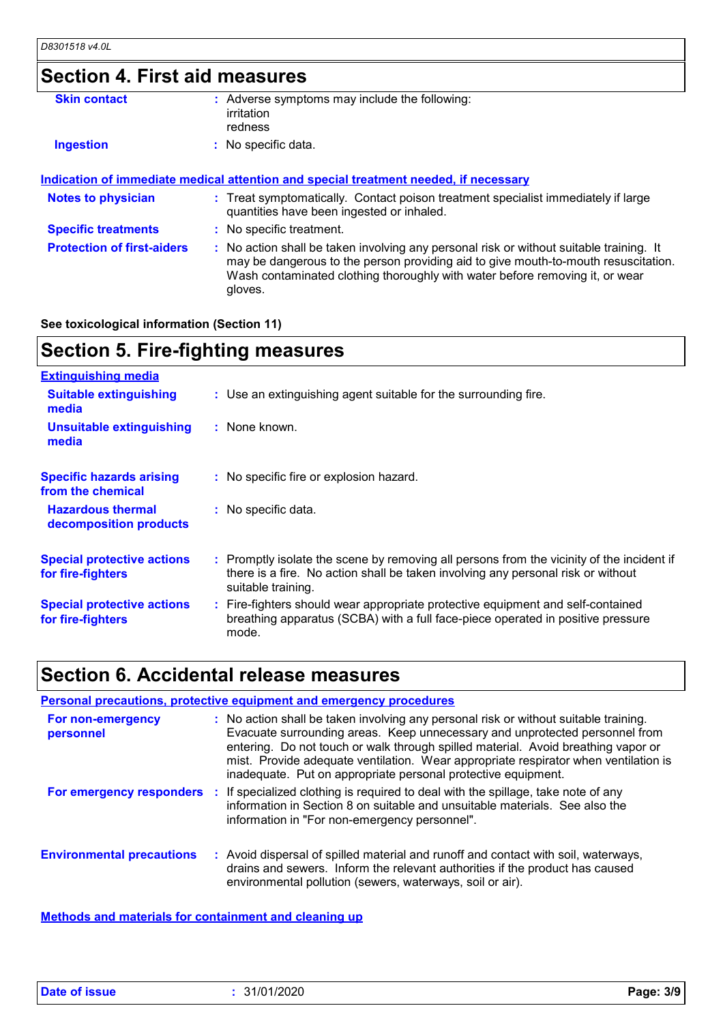| <b>Section 4. First aid measures</b> |                                                                                                                                                                                                                                                                          |
|--------------------------------------|--------------------------------------------------------------------------------------------------------------------------------------------------------------------------------------------------------------------------------------------------------------------------|
| <b>Skin contact</b>                  | : Adverse symptoms may include the following:<br>irritation<br>redness                                                                                                                                                                                                   |
| <b>Ingestion</b>                     | : No specific data.                                                                                                                                                                                                                                                      |
|                                      | Indication of immediate medical attention and special treatment needed, if necessary                                                                                                                                                                                     |
| <b>Notes to physician</b>            | : Treat symptomatically. Contact poison treatment specialist immediately if large<br>quantities have been ingested or inhaled.                                                                                                                                           |
| <b>Specific treatments</b>           | : No specific treatment.                                                                                                                                                                                                                                                 |
| <b>Protection of first-aiders</b>    | : No action shall be taken involving any personal risk or without suitable training. It<br>may be dangerous to the person providing aid to give mouth-to-mouth resuscitation.<br>Wash contaminated clothing thoroughly with water before removing it, or wear<br>gloves. |

### **See toxicological information (Section 11)**

# **Section 5. Fire-fighting measures**

| <b>Extinguishing media</b>                             |                                                                                                                                                                                                     |
|--------------------------------------------------------|-----------------------------------------------------------------------------------------------------------------------------------------------------------------------------------------------------|
| <b>Suitable extinguishing</b><br>media                 | : Use an extinguishing agent suitable for the surrounding fire.                                                                                                                                     |
| <b>Unsuitable extinguishing</b><br>media               | : None known.                                                                                                                                                                                       |
| <b>Specific hazards arising</b><br>from the chemical   | : No specific fire or explosion hazard.                                                                                                                                                             |
| <b>Hazardous thermal</b><br>decomposition products     | : No specific data.                                                                                                                                                                                 |
| <b>Special protective actions</b><br>for fire-fighters | : Promptly isolate the scene by removing all persons from the vicinity of the incident if<br>there is a fire. No action shall be taken involving any personal risk or without<br>suitable training. |
| <b>Special protective actions</b><br>for fire-fighters | : Fire-fighters should wear appropriate protective equipment and self-contained<br>breathing apparatus (SCBA) with a full face-piece operated in positive pressure<br>mode.                         |

### **Section 6. Accidental release measures**

#### **Environmental precautions Personal precautions, protective equipment and emergency procedures :** Avoid dispersal of spilled material and runoff and contact with soil, waterways, **:** No action shall be taken involving any personal risk or without suitable training. Evacuate surrounding areas. Keep unnecessary and unprotected personnel from entering. Do not touch or walk through spilled material. Avoid breathing vapor or mist. Provide adequate ventilation. Wear appropriate respirator when ventilation is inadequate. Put on appropriate personal protective equipment. drains and sewers. Inform the relevant authorities if the product has caused environmental pollution (sewers, waterways, soil or air). **For non-emergency personnel For emergency responders** : If specialized clothing is required to deal with the spillage, take note of any information in Section 8 on suitable and unsuitable materials. See also the information in "For non-emergency personnel".

**Methods and materials for containment and cleaning up**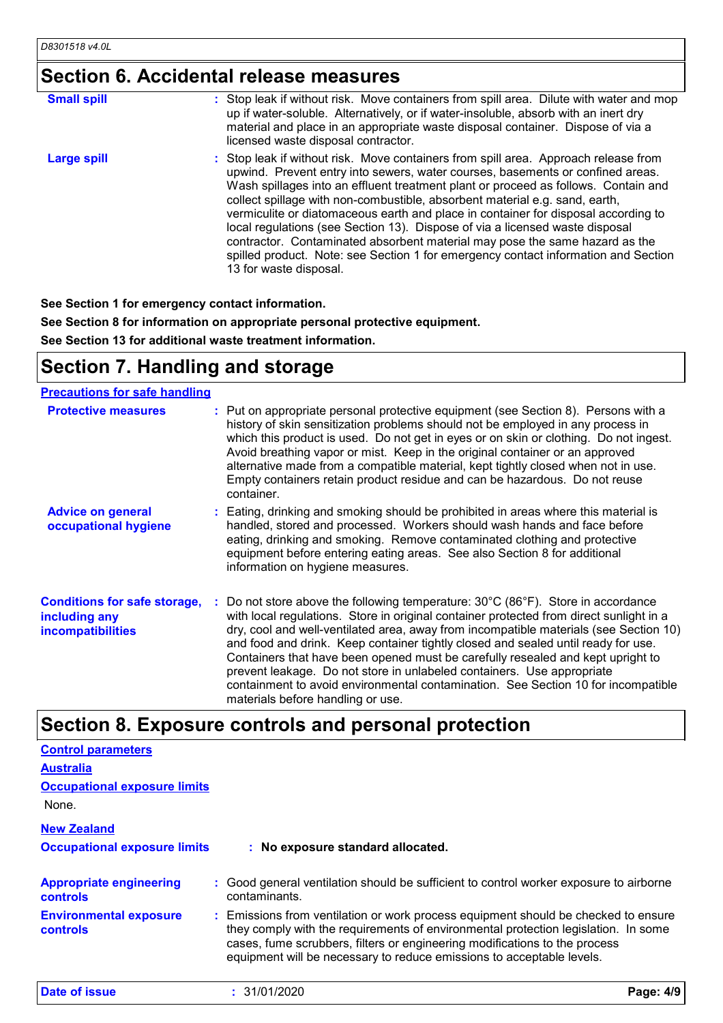# **Section 6. Accidental release measures**

| <b>Small spill</b> | : Stop leak if without risk. Move containers from spill area. Dilute with water and mop<br>up if water-soluble. Alternatively, or if water-insoluble, absorb with an inert dry<br>material and place in an appropriate waste disposal container. Dispose of via a<br>licensed waste disposal contractor.                                                                                                                                                                                                                                                                                                                                                                                                        |
|--------------------|-----------------------------------------------------------------------------------------------------------------------------------------------------------------------------------------------------------------------------------------------------------------------------------------------------------------------------------------------------------------------------------------------------------------------------------------------------------------------------------------------------------------------------------------------------------------------------------------------------------------------------------------------------------------------------------------------------------------|
| <b>Large spill</b> | : Stop leak if without risk. Move containers from spill area. Approach release from<br>upwind. Prevent entry into sewers, water courses, basements or confined areas.<br>Wash spillages into an effluent treatment plant or proceed as follows. Contain and<br>collect spillage with non-combustible, absorbent material e.g. sand, earth,<br>vermiculite or diatomaceous earth and place in container for disposal according to<br>local regulations (see Section 13). Dispose of via a licensed waste disposal<br>contractor. Contaminated absorbent material may pose the same hazard as the<br>spilled product. Note: see Section 1 for emergency contact information and Section<br>13 for waste disposal. |

**See Section 1 for emergency contact information.**

**See Section 8 for information on appropriate personal protective equipment.**

**See Section 13 for additional waste treatment information.**

## **Section 7. Handling and storage**

### **Precautions for safe handling**

| <b>Protective measures</b>                                                       | Put on appropriate personal protective equipment (see Section 8). Persons with a<br>history of skin sensitization problems should not be employed in any process in<br>which this product is used. Do not get in eyes or on skin or clothing. Do not ingest.<br>Avoid breathing vapor or mist. Keep in the original container or an approved<br>alternative made from a compatible material, kept tightly closed when not in use.<br>Empty containers retain product residue and can be hazardous. Do not reuse<br>container.                                                                                                                  |
|----------------------------------------------------------------------------------|------------------------------------------------------------------------------------------------------------------------------------------------------------------------------------------------------------------------------------------------------------------------------------------------------------------------------------------------------------------------------------------------------------------------------------------------------------------------------------------------------------------------------------------------------------------------------------------------------------------------------------------------|
| <b>Advice on general</b><br>occupational hygiene                                 | : Eating, drinking and smoking should be prohibited in areas where this material is<br>handled, stored and processed. Workers should wash hands and face before<br>eating, drinking and smoking. Remove contaminated clothing and protective<br>equipment before entering eating areas. See also Section 8 for additional<br>information on hygiene measures.                                                                                                                                                                                                                                                                                  |
| <b>Conditions for safe storage,</b><br>including any<br><b>incompatibilities</b> | Do not store above the following temperature: 30°C (86°F). Store in accordance<br>with local regulations. Store in original container protected from direct sunlight in a<br>dry, cool and well-ventilated area, away from incompatible materials (see Section 10)<br>and food and drink. Keep container tightly closed and sealed until ready for use.<br>Containers that have been opened must be carefully resealed and kept upright to<br>prevent leakage. Do not store in unlabeled containers. Use appropriate<br>containment to avoid environmental contamination. See Section 10 for incompatible<br>materials before handling or use. |

## **Section 8. Exposure controls and personal protection**

| <b>Control parameters</b>                        |                                                                                                                                                                                                                                                                                                                                 |           |
|--------------------------------------------------|---------------------------------------------------------------------------------------------------------------------------------------------------------------------------------------------------------------------------------------------------------------------------------------------------------------------------------|-----------|
| <b>Australia</b>                                 |                                                                                                                                                                                                                                                                                                                                 |           |
| <b>Occupational exposure limits</b>              |                                                                                                                                                                                                                                                                                                                                 |           |
| None.                                            |                                                                                                                                                                                                                                                                                                                                 |           |
| <b>New Zealand</b>                               |                                                                                                                                                                                                                                                                                                                                 |           |
| <b>Occupational exposure limits</b>              | : No exposure standard allocated.                                                                                                                                                                                                                                                                                               |           |
| <b>Appropriate engineering</b><br>controls       | : Good general ventilation should be sufficient to control worker exposure to airborne<br>contaminants.                                                                                                                                                                                                                         |           |
| <b>Environmental exposure</b><br><b>controls</b> | : Emissions from ventilation or work process equipment should be checked to ensure<br>they comply with the requirements of environmental protection legislation. In some<br>cases, fume scrubbers, filters or engineering modifications to the process<br>equipment will be necessary to reduce emissions to acceptable levels. |           |
| Date of issue                                    | : 31/01/2020                                                                                                                                                                                                                                                                                                                    | Page: 4/9 |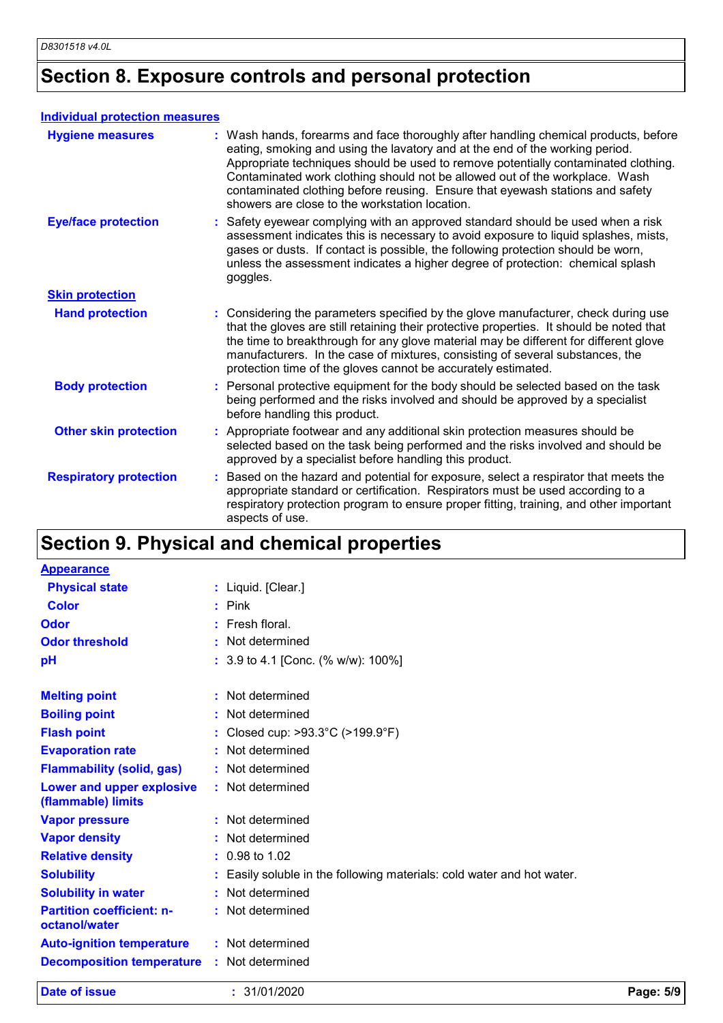# **Section 8. Exposure controls and personal protection**

### **Individual protection measures**

| <b>Hygiene measures</b>       | : Wash hands, forearms and face thoroughly after handling chemical products, before<br>eating, smoking and using the lavatory and at the end of the working period.<br>Appropriate techniques should be used to remove potentially contaminated clothing.<br>Contaminated work clothing should not be allowed out of the workplace. Wash<br>contaminated clothing before reusing. Ensure that eyewash stations and safety<br>showers are close to the workstation location. |
|-------------------------------|-----------------------------------------------------------------------------------------------------------------------------------------------------------------------------------------------------------------------------------------------------------------------------------------------------------------------------------------------------------------------------------------------------------------------------------------------------------------------------|
| <b>Eye/face protection</b>    | Safety eyewear complying with an approved standard should be used when a risk<br>assessment indicates this is necessary to avoid exposure to liquid splashes, mists,<br>gases or dusts. If contact is possible, the following protection should be worn,<br>unless the assessment indicates a higher degree of protection: chemical splash<br>goggles.                                                                                                                      |
| <b>Skin protection</b>        |                                                                                                                                                                                                                                                                                                                                                                                                                                                                             |
| <b>Hand protection</b>        | : Considering the parameters specified by the glove manufacturer, check during use<br>that the gloves are still retaining their protective properties. It should be noted that<br>the time to breakthrough for any glove material may be different for different glove<br>manufacturers. In the case of mixtures, consisting of several substances, the<br>protection time of the gloves cannot be accurately estimated.                                                    |
| <b>Body protection</b>        | Personal protective equipment for the body should be selected based on the task<br>being performed and the risks involved and should be approved by a specialist<br>before handling this product.                                                                                                                                                                                                                                                                           |
| <b>Other skin protection</b>  | Appropriate footwear and any additional skin protection measures should be<br>selected based on the task being performed and the risks involved and should be<br>approved by a specialist before handling this product.                                                                                                                                                                                                                                                     |
| <b>Respiratory protection</b> | Based on the hazard and potential for exposure, select a respirator that meets the<br>appropriate standard or certification. Respirators must be used according to a<br>respiratory protection program to ensure proper fitting, training, and other important<br>aspects of use.                                                                                                                                                                                           |

# **Section 9. Physical and chemical properties**

| <b>Appearance</b>                                 |                                                                        |           |
|---------------------------------------------------|------------------------------------------------------------------------|-----------|
| <b>Physical state</b>                             | : Liquid. [Clear.]                                                     |           |
| <b>Color</b>                                      | $:$ Pink                                                               |           |
| Odor                                              | $:$ Fresh floral.                                                      |           |
| <b>Odor threshold</b>                             | : Not determined                                                       |           |
| pH                                                | : 3.9 to 4.1 [Conc. (% w/w): 100%]                                     |           |
| <b>Melting point</b>                              | : Not determined                                                       |           |
| <b>Boiling point</b>                              | : Not determined                                                       |           |
| <b>Flash point</b>                                | : Closed cup: $>93.3^{\circ}$ C ( $>199.9^{\circ}$ F)                  |           |
| <b>Evaporation rate</b>                           | : Not determined                                                       |           |
| <b>Flammability (solid, gas)</b>                  | : Not determined                                                       |           |
| Lower and upper explosive<br>(flammable) limits   | : Not determined                                                       |           |
| <b>Vapor pressure</b>                             | : Not determined                                                       |           |
| <b>Vapor density</b>                              | : Not determined                                                       |           |
| <b>Relative density</b>                           | $: 0.98$ to 1.02                                                       |           |
| <b>Solubility</b>                                 | : Easily soluble in the following materials: cold water and hot water. |           |
| <b>Solubility in water</b>                        | : Not determined                                                       |           |
| <b>Partition coefficient: n-</b><br>octanol/water | : Not determined                                                       |           |
| <b>Auto-ignition temperature</b>                  | : Not determined                                                       |           |
| <b>Decomposition temperature</b>                  | : Not determined                                                       |           |
| <b>Date of issue</b>                              | : 31/01/2020                                                           | Page: 5/9 |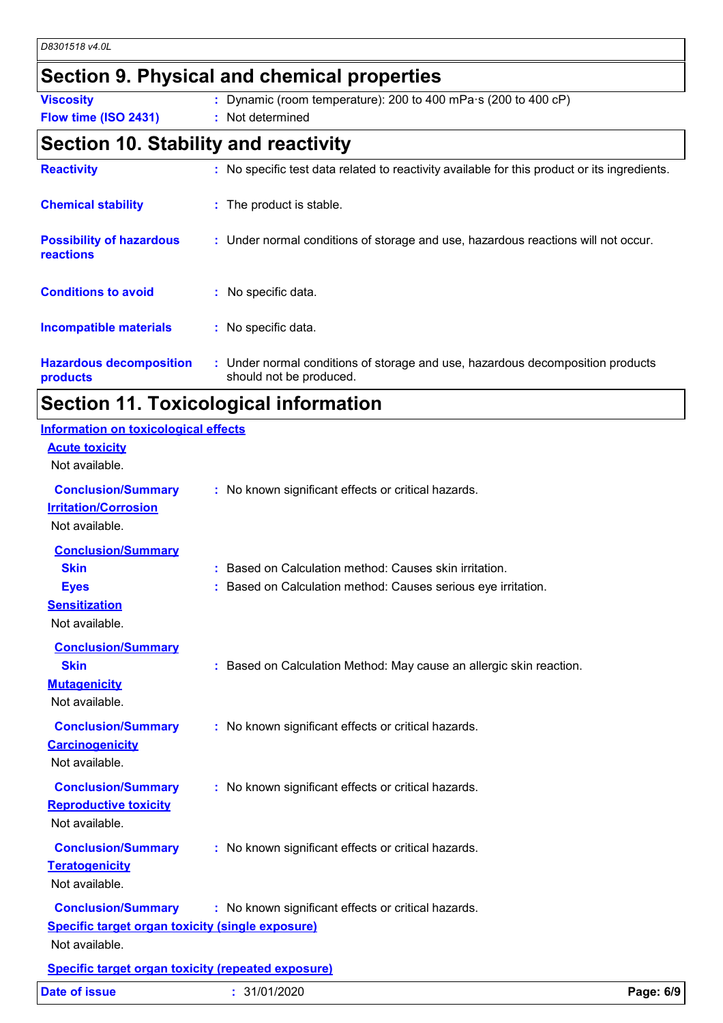## **Section 9. Physical and chemical properties**

**Viscosity :** Dynamic (room temperature): 200 to 400 mPa·s (200 to 400 cP)

**Flow time (ISO 2431) :** Not determined

## **Section 10. Stability and reactivity**

| <b>Reactivity</b>                                   | : No specific test data related to reactivity available for this product or its ingredients.              |
|-----------------------------------------------------|-----------------------------------------------------------------------------------------------------------|
| <b>Chemical stability</b>                           | : The product is stable.                                                                                  |
| <b>Possibility of hazardous</b><br><b>reactions</b> | : Under normal conditions of storage and use, hazardous reactions will not occur.                         |
| <b>Conditions to avoid</b>                          | : No specific data.                                                                                       |
| <b>Incompatible materials</b>                       | : No specific data.                                                                                       |
| <b>Hazardous decomposition</b><br>products          | : Under normal conditions of storage and use, hazardous decomposition products<br>should not be produced. |

# **Section 11. Toxicological information**

| <b>Date of issue</b>                                                                                   | : 31/01/2020                                                                                                            | Page: 6/9 |
|--------------------------------------------------------------------------------------------------------|-------------------------------------------------------------------------------------------------------------------------|-----------|
| <b>Specific target organ toxicity (repeated exposure)</b>                                              |                                                                                                                         |           |
| <b>Conclusion/Summary</b><br><b>Specific target organ toxicity (single exposure)</b><br>Not available. | : No known significant effects or critical hazards.                                                                     |           |
| <b>Conclusion/Summary</b><br><b>Teratogenicity</b><br>Not available.                                   | : No known significant effects or critical hazards.                                                                     |           |
| <b>Conclusion/Summary</b><br><b>Reproductive toxicity</b><br>Not available.                            | : No known significant effects or critical hazards.                                                                     |           |
| <b>Conclusion/Summary</b><br><b>Carcinogenicity</b><br>Not available.                                  | : No known significant effects or critical hazards.                                                                     |           |
| <b>Conclusion/Summary</b><br><b>Skin</b><br><b>Mutagenicity</b><br>Not available.                      | : Based on Calculation Method: May cause an allergic skin reaction.                                                     |           |
| <b>Skin</b><br><b>Eyes</b><br><b>Sensitization</b><br>Not available.                                   | : Based on Calculation method: Causes skin irritation.<br>: Based on Calculation method: Causes serious eye irritation. |           |
| Not available.<br><b>Conclusion/Summary</b>                                                            |                                                                                                                         |           |
| <b>Acute toxicity</b><br>Not available.<br><b>Conclusion/Summary</b><br><b>Irritation/Corrosion</b>    | : No known significant effects or critical hazards.                                                                     |           |
| <b>Information on toxicological effects</b>                                                            |                                                                                                                         |           |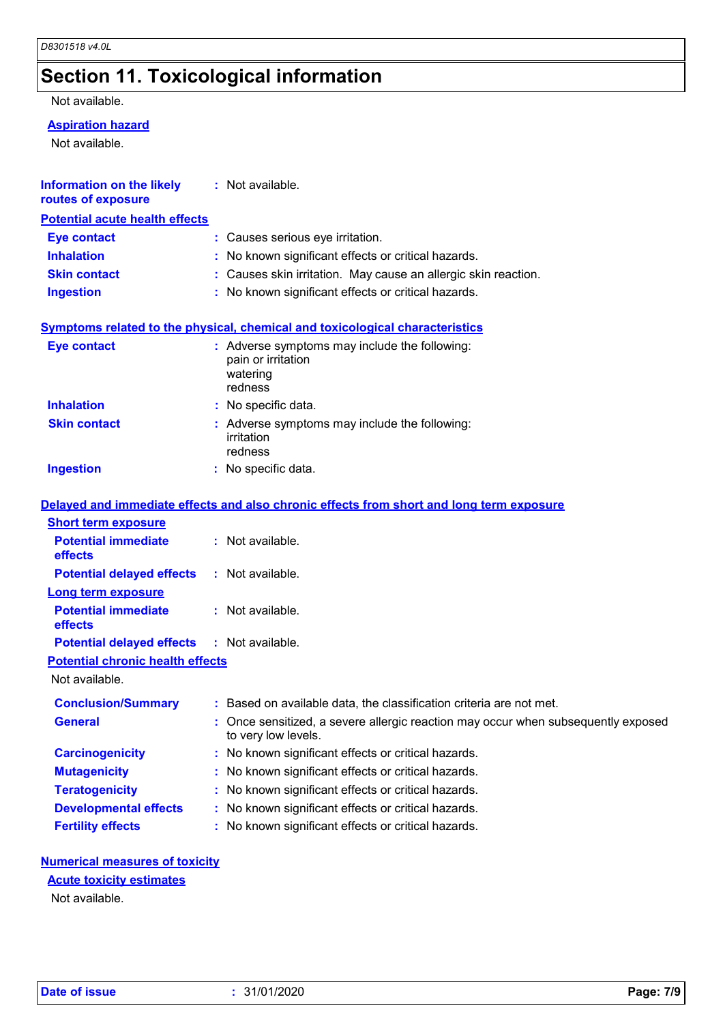# **Section 11. Toxicological information**

### Not available.

### **Aspiration hazard**

Not available.

| <b>Information on the likely</b><br>routes of exposure              | : Not available.                                                                                             |  |  |
|---------------------------------------------------------------------|--------------------------------------------------------------------------------------------------------------|--|--|
| <b>Potential acute health effects</b>                               |                                                                                                              |  |  |
| <b>Eye contact</b>                                                  | : Causes serious eye irritation.                                                                             |  |  |
| <b>Inhalation</b>                                                   | : No known significant effects or critical hazards.                                                          |  |  |
| <b>Skin contact</b>                                                 | : Causes skin irritation. May cause an allergic skin reaction.                                               |  |  |
| <b>Ingestion</b>                                                    | : No known significant effects or critical hazards.                                                          |  |  |
|                                                                     | <b>Symptoms related to the physical, chemical and toxicological characteristics</b>                          |  |  |
| <b>Eye contact</b>                                                  | : Adverse symptoms may include the following:<br>pain or irritation<br>watering<br>redness                   |  |  |
| <b>Inhalation</b>                                                   | : No specific data.                                                                                          |  |  |
| <b>Skin contact</b>                                                 | : Adverse symptoms may include the following:<br>irritation<br>redness                                       |  |  |
| <b>Ingestion</b>                                                    | : No specific data.                                                                                          |  |  |
| <b>Short term exposure</b><br><b>Potential immediate</b><br>effects | Delayed and immediate effects and also chronic effects from short and long term exposure<br>: Not available. |  |  |
| <b>Potential delayed effects</b>                                    | : Not available.                                                                                             |  |  |
| <b>Long term exposure</b>                                           |                                                                                                              |  |  |
| <b>Potential immediate</b><br>effects                               | : Not available.                                                                                             |  |  |
| <b>Potential delayed effects</b>                                    | : Not available.                                                                                             |  |  |
| <b>Potential chronic health effects</b><br>Not available.           |                                                                                                              |  |  |
| <b>Conclusion/Summary</b>                                           | : Based on available data, the classification criteria are not met.                                          |  |  |
| <b>General</b>                                                      | : Once sensitized, a severe allergic reaction may occur when subsequently exposed<br>to very low levels.     |  |  |
| <b>Carcinogenicity</b>                                              | : No known significant effects or critical hazards.                                                          |  |  |
| <b>Mutagenicity</b>                                                 | : No known significant effects or critical hazards.                                                          |  |  |
| <b>Teratogenicity</b>                                               | : No known significant effects or critical hazards.                                                          |  |  |
| <b>Developmental effects</b>                                        | : No known significant effects or critical hazards.                                                          |  |  |
| <b>Fertility effects</b>                                            | : No known significant effects or critical hazards.                                                          |  |  |

### **Numerical measures of toxicity**

### **Acute toxicity estimates**

Not available.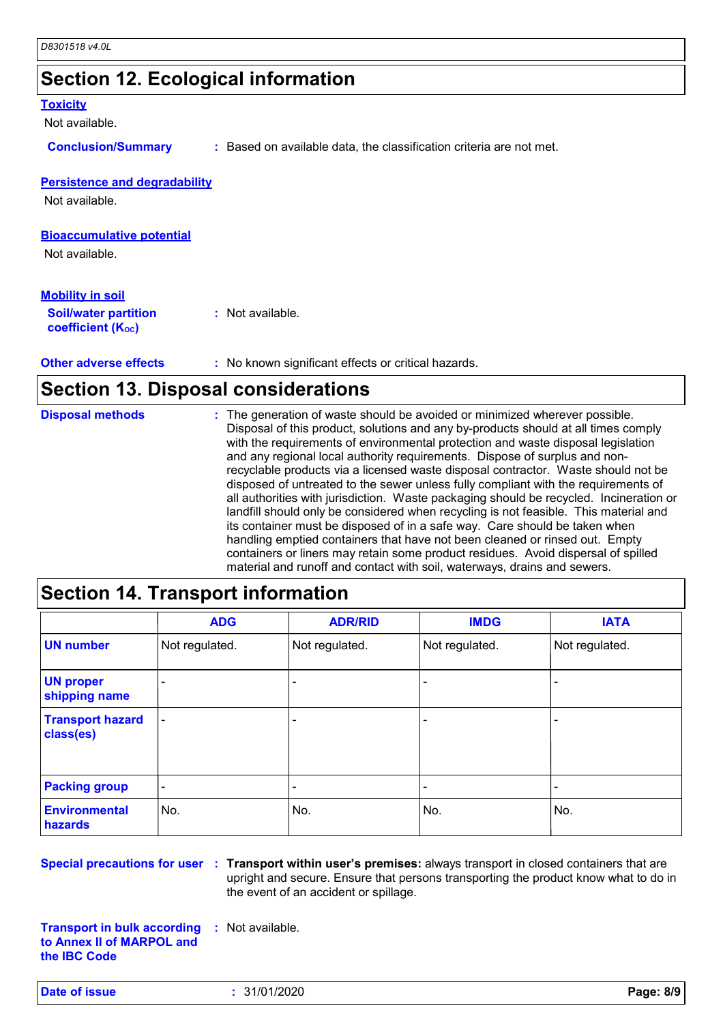## **Section 12. Ecological information**

#### **Toxicity**

Not available.

**Conclusion/Summary :** Based on available data, the classification criteria are not met.

### **Persistence and degradability**

Not available.

### **Bioaccumulative potential**

Not available.

### **Mobility in soil**

| <b>Soil/water partition</b> | : Not available. |
|-----------------------------|------------------|
| <b>coefficient (Koc)</b>    |                  |

**Other adverse effects** : No known significant effects or critical hazards.

## **Section 13. Disposal considerations**

The generation of waste should be avoided or minimized wherever possible. Disposal of this product, solutions and any by-products should at all times comply with the requirements of environmental protection and waste disposal legislation and any regional local authority requirements. Dispose of surplus and nonrecyclable products via a licensed waste disposal contractor. Waste should not be disposed of untreated to the sewer unless fully compliant with the requirements of all authorities with jurisdiction. Waste packaging should be recycled. Incineration or landfill should only be considered when recycling is not feasible. This material and its container must be disposed of in a safe way. Care should be taken when handling emptied containers that have not been cleaned or rinsed out. Empty containers or liners may retain some product residues. Avoid dispersal of spilled material and runoff and contact with soil, waterways, drains and sewers. **Disposal methods :**

## **Section 14. Transport information**

|                                      | <b>ADG</b>               | <b>ADR/RID</b> | <b>IMDG</b>    | <b>IATA</b>    |
|--------------------------------------|--------------------------|----------------|----------------|----------------|
| <b>UN number</b>                     | Not regulated.           | Not regulated. | Not regulated. | Not regulated. |
| <b>UN proper</b><br>shipping name    |                          |                |                |                |
| <b>Transport hazard</b><br>class(es) | $\overline{\phantom{a}}$ |                |                |                |
| <b>Packing group</b>                 | $\overline{\phantom{a}}$ |                | -              |                |
| <b>Environmental</b><br>hazards      | No.                      | No.            | No.            | No.            |

**Special precautions for user** : Transport within user's premises: always transport in closed containers that are upright and secure. Ensure that persons transporting the product know what to do in the event of an accident or spillage.

**Transport in bulk according to Annex II of MARPOL and the IBC Code :** Not available.

**Date of issue :** 31/01/2020 **Page: 8/9**